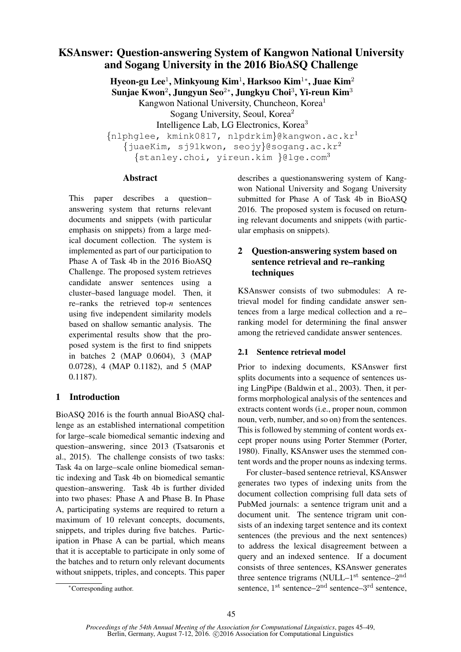# KSAnswer: Question-answering System of Kangwon National University and Sogang University in the 2016 BioASQ Challenge

Hyeon-gu Lee $^1$ , Minkyoung Kim $^1$ , Harksoo Kim $^{1*}$ , Juae Kim $^2$ Sunjae Kwon $^2$ , Jungyun Seo $^{2\ast}$ , Jungkyu Choi $^3$ , Yi-reun Kim $^3$ Kangwon National University, Chuncheon, Korea<sup>1</sup> Sogang University, Seoul, Korea<sup>2</sup> Intelligence Lab, LG Electronics, Korea<sup>3</sup>  ${nlphqlee, kmink0817, nlpdrkim}$ @kangwon.ac.kr<sup>1</sup>  $\{j$ uaeKim, sj $91$ kwon, seojy}@sogang.ac.kr<sup>2</sup> {stanley.choi, yireun.kim }@lge.com<sup>3</sup>

### Abstract

This paper describes a question– answering system that returns relevant documents and snippets (with particular emphasis on snippets) from a large medical document collection. The system is implemented as part of our participation to Phase A of Task 4b in the 2016 BioASQ Challenge. The proposed system retrieves candidate answer sentences using a cluster–based language model. Then, it re–ranks the retrieved top-*n* sentences using five independent similarity models based on shallow semantic analysis. The experimental results show that the proposed system is the first to find snippets in batches 2 (MAP 0.0604), 3 (MAP 0.0728), 4 (MAP 0.1182), and 5 (MAP 0.1187).

## 1 Introduction

BioASQ 2016 is the fourth annual BioASQ challenge as an established international competition for large–scale biomedical semantic indexing and question–answering, since 2013 (Tsatsaronis et al., 2015). The challenge consists of two tasks: Task 4a on large–scale online biomedical semantic indexing and Task 4b on biomedical semantic question–answering. Task 4b is further divided into two phases: Phase A and Phase B. In Phase A, participating systems are required to return a maximum of 10 relevant concepts, documents, snippets, and triples during five batches. Participation in Phase A can be partial, which means that it is acceptable to participate in only some of the batches and to return only relevant documents without snippets, triples, and concepts. This paper

describes a questionanswering system of Kangwon National University and Sogang University submitted for Phase A of Task 4b in BioASQ 2016. The proposed system is focused on returning relevant documents and snippets (with particular emphasis on snippets).

## 2 Question-answering system based on sentence retrieval and re–ranking techniques

KSAnswer consists of two submodules: A retrieval model for finding candidate answer sentences from a large medical collection and a re– ranking model for determining the final answer among the retrieved candidate answer sentences.

## 2.1 Sentence retrieval model

Prior to indexing documents, KSAnswer first splits documents into a sequence of sentences using LingPipe (Baldwin et al., 2003). Then, it performs morphological analysis of the sentences and extracts content words (i.e., proper noun, common noun, verb, number, and so on) from the sentences. This is followed by stemming of content words except proper nouns using Porter Stemmer (Porter, 1980). Finally, KSAnswer uses the stemmed content words and the proper nouns as indexing terms.

For cluster–based sentence retrieval, KSAnswer generates two types of indexing units from the document collection comprising full data sets of PubMed journals: a sentence trigram unit and a document unit. The sentence trigram unit consists of an indexing target sentence and its context sentences (the previous and the next sentences) to address the lexical disagreement between a query and an indexed sentence. If a document consists of three sentences, KSAnswer generates three sentence trigrams (NULL $-1<sup>st</sup>$  sentence $-2<sup>nd</sup>$ sentence, 1<sup>st</sup> sentence–2<sup>nd</sup> sentence–3<sup>rd</sup> sentence,

<sup>∗</sup>Corresponding author.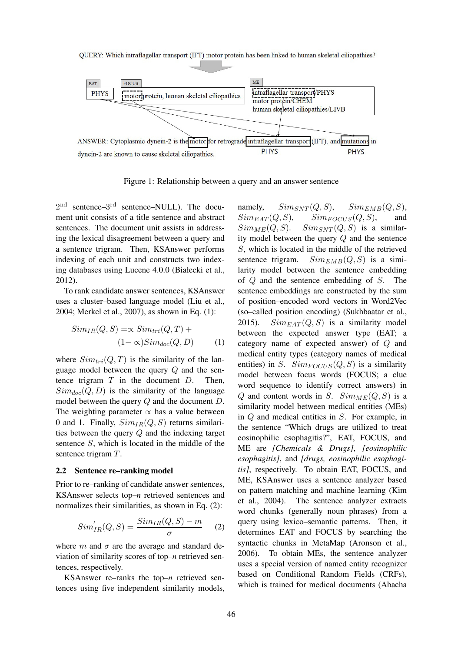

Figure 1: Relationship between a query and an answer sentence

 $2<sup>nd</sup>$  sentence– $3<sup>rd</sup>$  sentence–NULL). The document unit consists of a title sentence and abstract sentences. The document unit assists in addressing the lexical disagreement between a query and a sentence trigram. Then, KSAnswer performs indexing of each unit and constructs two indexing databases using Lucene 4.0.0 (Białecki et al., 2012).

To rank candidate answer sentences, KSAnswer uses a cluster–based language model (Liu et al., 2004; Merkel et al., 2007), as shown in Eq. (1):

$$
Sim_{IR}(Q, S) = \propto Sim_{tri}(Q, T) +
$$
  

$$
(1 - \propto) Sim_{doc}(Q, D)
$$
 (1)

where  $Sim_{tri}(Q, T)$  is the similarity of the language model between the query Q and the sentence trigram  $T$  in the document  $D$ . Then,  $Sim_{doc}(Q, D)$  is the similarity of the language model between the query Q and the document D. The weighting parameter  $\propto$  has a value between 0 and 1. Finally,  $Sim_{IR}(Q, S)$  returns similarities between the query Q and the indexing target sentence S, which is located in the middle of the sentence trigram T.

#### 2.2 Sentence re–ranking model

Prior to re–ranking of candidate answer sentences, KSAnswer selects top–*n* retrieved sentences and normalizes their similarities, as shown in Eq. (2):

$$
Sim'_{IR}(Q, S) = \frac{Sim_{IR}(Q, S) - m}{\sigma}
$$
 (2)

where m and  $\sigma$  are the average and standard deviation of similarity scores of top–*n* retrieved sentences, respectively.

KSAnswer re–ranks the top–*n* retrieved sentences using five independent similarity models, namely,  $Sim_{SNT}(Q, S)$ ,  $Sim_{EMB}(Q, S)$ ,  $Sim_{EAT}(Q, S)$ ,  $Sim_{FOCUS}(Q, S)$ , and  $Sim_{ME}(Q, S)$ .  $Sim_{SNT}(Q, S)$  is a similarity model between the query Q and the sentence S, which is located in the middle of the retrieved sentence trigram.  $Sim_{EMB}(Q, S)$  is a similarity model between the sentence embedding of Q and the sentence embedding of S. The sentence embeddings are constructed by the sum of position–encoded word vectors in Word2Vec (so–called position encoding) (Sukhbaatar et al., 2015).  $Sim_{EAT}(Q, S)$  is a similarity model between the expected answer type (EAT; a category name of expected answer) of Q and medical entity types (category names of medical entities) in S.  $Sim_{FOCUS}(Q, S)$  is a similarity model between focus words (FOCUS; a clue word sequence to identify correct answers) in Q and content words in S.  $Sim_{ME}(Q, S)$  is a similarity model between medical entities (MEs) in Q and medical entities in S. For example, in the sentence "Which drugs are utilized to treat eosinophilic esophagitis?", EAT, FOCUS, and ME are *[Chemicals & Drugs]*, *[eosinophilic esophagitis]*, and *[drugs, eosinophilic esophagitis]*, respectively. To obtain EAT, FOCUS, and ME, KSAnswer uses a sentence analyzer based on pattern matching and machine learning (Kim et al., 2004). The sentence analyzer extracts word chunks (generally noun phrases) from a query using lexico–semantic patterns. Then, it determines EAT and FOCUS by searching the syntactic chunks in MetaMap (Aronson et al., 2006). To obtain MEs, the sentence analyzer uses a special version of named entity recognizer based on Conditional Random Fields (CRFs), which is trained for medical documents (Abacha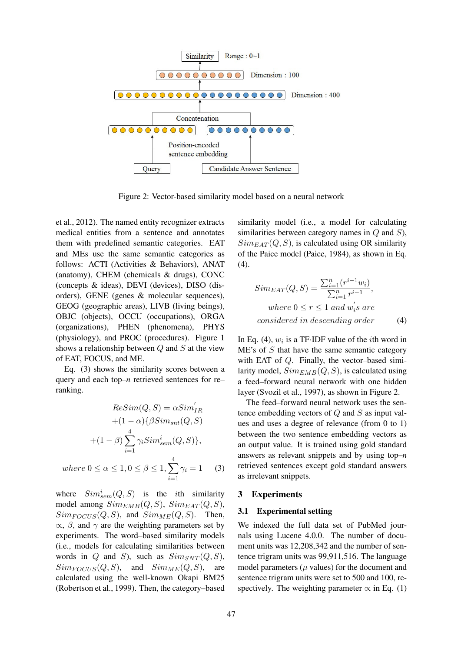

Figure 2: Vector-based similarity model based on a neural network

et al., 2012). The named entity recognizer extracts medical entities from a sentence and annotates them with predefined semantic categories. EAT and MEs use the same semantic categories as follows: ACTI (Activities & Behaviors), ANAT (anatomy), CHEM (chemicals & drugs), CONC (concepts & ideas), DEVI (devices), DISO (disorders), GENE (genes & molecular sequences), GEOG (geographic areas), LIVB (living beings), OBJC (objects), OCCU (occupations), ORGA (organizations), PHEN (phenomena), PHYS (physiology), and PROC (procedures). Figure 1 shows a relationship between  $Q$  and  $S$  at the view of EAT, FOCUS, and ME.

Eq. (3) shows the similarity scores between a query and each top–*n* retrieved sentences for re– ranking.

$$
Resim(Q, S) = \alpha Sim'_{IR}
$$
  
+  $(1 - \alpha)\{\beta Sim_{snt}(Q, S)$   
+  $(1 - \beta)\sum_{i=1}^{4} \gamma_i Sim_{sem}^i(Q, S)\},$   
where  $0 \le \alpha \le 1, 0 \le \beta \le 1, \sum_{i=1}^{4} \gamma_i = 1$  (3)

where  $Sim_{sem}^i(Q, S)$  is the *i*th similarity model among  $Sim_{EMB}(Q, S)$ ,  $Sim_{EAT}(Q, S)$ ,  $Sim_{FOCUS}(Q, S)$ , and  $Sim_{ME}(Q, S)$ . Then,  $\propto$ ,  $\beta$ , and  $\gamma$  are the weighting parameters set by experiments. The word–based similarity models (i.e., models for calculating similarities between words in Q and S), such as  $Sim_{SNT}(Q, S)$ ,  $Sim_{FOCUS}(Q, S)$ , and  $Sim_{ME}(Q, S)$ , are calculated using the well-known Okapi BM25 (Robertson et al., 1999). Then, the category–based

similarity model (i.e., a model for calculating similarities between category names in  $Q$  and  $S$ ),  $Sim_{EAT}(Q, S)$ , is calculated using OR similarity of the Paice model (Paice, 1984), as shown in Eq. (4).

$$
Sim_{EAT}(Q, S) = \frac{\sum_{i=1}^{n} (r^{i-1}w_i)}{\sum_{i=1}^{n} r^{i-1}},
$$
  
where  $0 \le r \le 1$  and  $w_i$ 's are  
considered in descending order (4)

In Eq. (4),  $w_i$  is a TF·IDF value of the *i*th word in  $ME's$  of  $S$  that have the same semantic category with EAT of Q. Finally, the vector–based similarity model,  $Sim_{EMB}(Q, S)$ , is calculated using a feed–forward neural network with one hidden layer (Svozil et al., 1997), as shown in Figure 2.

The feed–forward neural network uses the sentence embedding vectors of  $Q$  and  $S$  as input values and uses a degree of relevance (from 0 to 1) between the two sentence embedding vectors as an output value. It is trained using gold standard answers as relevant snippets and by using top–*n* retrieved sentences except gold standard answers as irrelevant snippets.

#### 3 Experiments

#### 3.1 Experimental setting

We indexed the full data set of PubMed journals using Lucene 4.0.0. The number of document units was 12,208,342 and the number of sentence trigram units was 99,911,516. The language model parameters  $(\mu$  values) for the document and sentence trigram units were set to 500 and 100, respectively. The weighting parameter  $\propto$  in Eq. (1)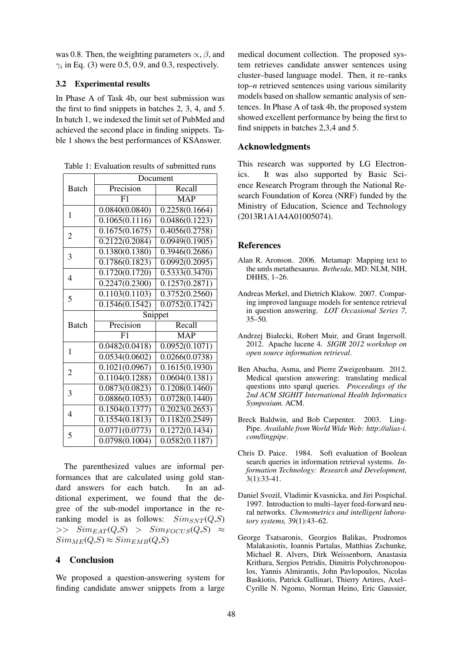was 0.8. Then, the weighting parameters  $\propto$ ,  $\beta$ , and  $\gamma_i$  in Eq. (3) were 0.5, 0.9, and 0.3, respectively.

#### 3.2 Experimental results

In Phase A of Task 4b, our best submission was the first to find snippets in batches 2, 3, 4, and 5. In batch 1, we indexed the limit set of PubMed and achieved the second place in finding snippets. Table 1 shows the best performances of KSAnswer.

|                | Document                    |                             |
|----------------|-----------------------------|-----------------------------|
| <b>Batch</b>   | Precision                   | Recall                      |
|                | F1                          | <b>MAP</b>                  |
| 1              | 0.0840(0.0840)              | 0.2258(0.1664)              |
|                | 0.1065(0.1116)              | 0.0486(0.1223)              |
| $\overline{2}$ | 0.1675(0.1675)              | 0.4056(0.2758)              |
|                | 0.2122(0.2084)              | 0.0949(0.1905)              |
| 3              | 0.1380(0.1380)              | 0.3946(0.2686)              |
|                | 0.1786(0.1823)              | $0.0992(\overline{0.2095})$ |
| 4              | 0.1720(0.1720)              | 0.5333(0.3470)              |
|                | 0.2247(0.2300)              | 0.1257(0.2871)              |
| 5              | 0.1103(0.1103)              | $0.375\overline{2(0.2560)}$ |
|                | 0.1546(0.1542)              | 0.0752(0.1742)              |
| <b>Batch</b>   | Snippet                     |                             |
|                | Precision                   | Recall                      |
|                | F1                          | <b>MAP</b>                  |
| 1              | 0.0482(0.0418)              | 0.0952(0.1071)              |
|                | 0.0534(0.0602)              | 0.0266(0.0738)              |
| 2              | 0.1021(0.0967)              | 0.1615(0.1930)              |
|                | 0.1104(0.1288)              | 0.0604(0.1381)              |
| 3              | $0.0873(\overline{0.0823})$ | 0.1208(0.1460)              |
|                | 0.0886(0.1053)              | 0.0728(0.1440)              |
|                |                             |                             |
|                | 0.1504(0.1377)              | 0.2023(0.2653)              |
| 4              | 0.1554(0.1813)              | 0.1182(0.2549)              |
| 5              | 0.0771(0.0773)              | 0.1272(0.1434)              |

Table 1: Evaluation results of submitted runs

The parenthesized values are informal performances that are calculated using gold standard answers for each batch. In an additional experiment, we found that the degree of the sub-model importance in the reranking model is as follows:  $Sim_{SNT}(Q,S)$  $\gg$   $Sim_{EAT}(Q,S)$   $>$   $Sim_{FOCUS}(Q,S)$   $\approx$  $Sim_{ME}(Q,S) \approx Sim_{EMB}(Q,S)$ 

#### 4 Conclusion

We proposed a question-answering system for finding candidate answer snippets from a large

medical document collection. The proposed system retrieves candidate answer sentences using cluster–based language model. Then, it re–ranks top–*n* retrieved sentences using various similarity models based on shallow semantic analysis of sentences. In Phase A of task 4b, the proposed system showed excellent performance by being the first to find snippets in batches 2,3,4 and 5.

### Acknowledgments

This research was supported by LG Electronics. It was also supported by Basic Science Research Program through the National Research Foundation of Korea (NRF) funded by the Ministry of Education, Science and Technology (2013R1A1A4A01005074).

#### **References**

- Alan R. Aronson. 2006. Metamap: Mapping text to the umls metathesaurus. *Bethesda*, MD: NLM, NIH, DHHS, 1–26.
- Andreas Merkel, and Dietrich Klakow. 2007. Comparing improved language models for sentence retrieval in question answering. *LOT Occasional Series 7*, 35–50.
- Andrzej Białecki, Robert Muir, and Grant Ingersoll. 2012. Apache lucene 4. *SIGIR 2012 workshop on open source information retrieval*.
- Ben Abacha, Asma, and Pierre Zweigenbaum. 2012. Medical question answering: translating medical questions into sparql queries. *Proceedings of the 2nd ACM SIGHIT International Health Informatics Symposium.* ACM.
- Breck Baldwin, and Bob Carpenter. 2003. Ling-Pipe. *Available from World Wide Web: http://alias-i. com/lingpipe*.
- Chris D. Paice. 1984. Soft evaluation of Boolean search queries in information retrieval systems. *Information Technology: Research and Development,* 3(1):33-41.
- Daniel Svozil, Vladimir Kvasnicka, and Jiri Pospichal. 1997. Introduction to multi–layer feed-forward neural networks. *Chemometrics and intelligent laboratory systems,* 39(1):43–62.
- George Tsatsaronis, Georgios Balikas, Prodromos Malakasiotis, Ioannis Partalas, Matthias Zschunke, Michael R. Alvers, Dirk Weissenborn, Anastasia Krithara, Sergios Petridis, Dimitris Polychronopoulos, Yannis Almirantis, John Pavlopoulos, Nicolas Baskiotis, Patrick Gallinari, Thierry Artires, Axel– Cyrille N. Ngomo, Norman Heino, Eric Gaussier,